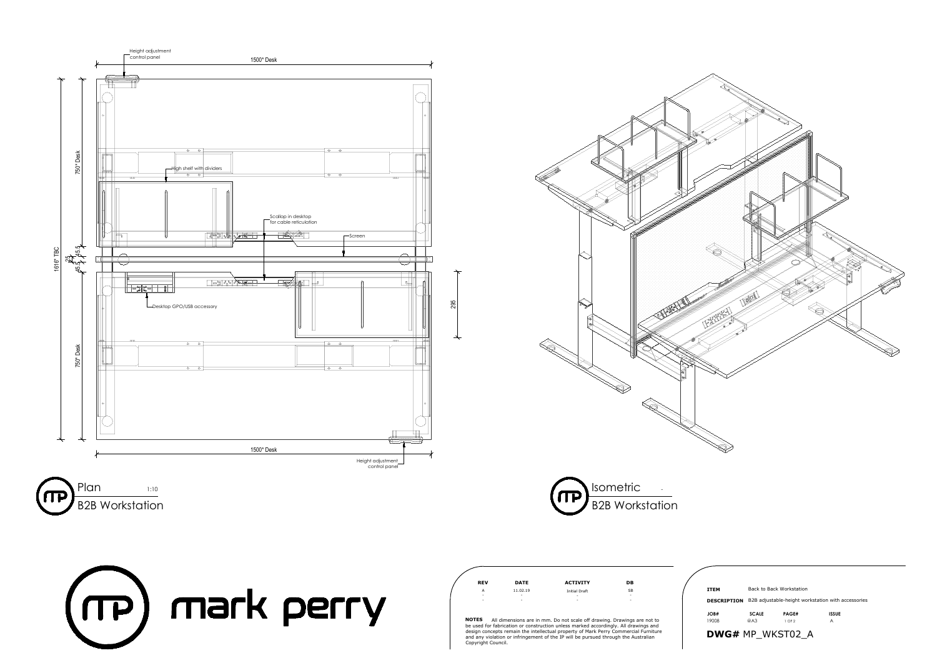









**NOTES** All dimensions are in mm. Do not scale off drawing. Drawings are not to be used for fabrication or construction unless marked accordingly. All drawings and design concepts remain the intellectual property of Mark Perry Commercial Furniture and any violation or infringement of the IP will be pursued through the Australian Copyright Council.